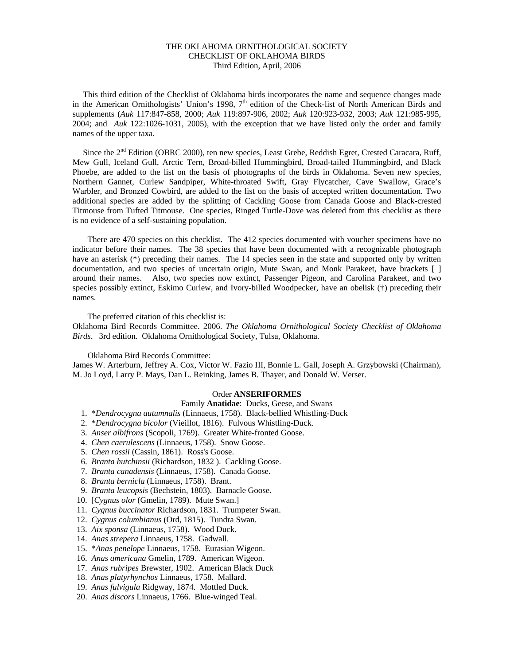## THE OKLAHOMA ORNITHOLOGICAL SOCIETY CHECKLIST OF OKLAHOMA BIRDS Third Edition, April, 2006

 This third edition of the Checklist of Oklahoma birds incorporates the name and sequence changes made in the American Ornithologists' Union's 1998,  $7<sup>th</sup>$  edition of the Check-list of North American Birds and supplements (*Auk* 117:847-858, 2000; *Auk* 119:897-906, 2002; *Auk* 120:923-932, 2003; *Auk* 121:985-995, 2004; and *Auk* 122:1026-1031, 2005), with the exception that we have listed only the order and family names of the upper taxa.

Since the 2<sup>nd</sup> Edition (OBRC 2000), ten new species, Least Grebe, Reddish Egret, Crested Caracara, Ruff, Mew Gull, Iceland Gull, Arctic Tern, Broad-billed Hummingbird, Broad-tailed Hummingbird, and Black Phoebe, are added to the list on the basis of photographs of the birds in Oklahoma. Seven new species, Northern Gannet, Curlew Sandpiper, White-throated Swift, Gray Flycatcher, Cave Swallow, Grace's Warbler, and Bronzed Cowbird, are added to the list on the basis of accepted written documentation. Two additional species are added by the splitting of Cackling Goose from Canada Goose and Black-crested Titmouse from Tufted Titmouse. One species, Ringed Turtle-Dove was deleted from this checklist as there is no evidence of a self-sustaining population.

 There are 470 species on this checklist. The 412 species documented with voucher specimens have no indicator before their names. The 38 species that have been documented with a recognizable photograph have an asterisk (\*) preceding their names. The 14 species seen in the state and supported only by written documentation, and two species of uncertain origin, Mute Swan, and Monk Parakeet, have brackets [] around their names. Also, two species now extinct, Passenger Pigeon, and Carolina Parakeet, and two species possibly extinct, Eskimo Curlew, and Ivory-billed Woodpecker, have an obelisk (†) preceding their names.

The preferred citation of this checklist is:

Oklahoma Bird Records Committee. 2006. *The Oklahoma Ornithological Society Checklist of Oklahoma Birds*. 3rd edition. Oklahoma Ornithological Society, Tulsa, Oklahoma.

Oklahoma Bird Records Committee:

James W. Arterburn, Jeffrey A. Cox, Victor W. Fazio III, Bonnie L. Gall, Joseph A. Grzybowski (Chairman), M. Jo Loyd, Larry P. Mays, Dan L. Reinking, James B. Thayer, and Donald W. Verser.

#### Order **ANSERIFORMES**

## Family **Anatidae**: Ducks, Geese, and Swans

- 1. \**Dendrocygna autumnalis* (Linnaeus, 1758). Black-bellied Whistling-Duck
- 2. \**Dendrocygna bicolor* (Vieillot, 1816). Fulvous Whistling-Duck.
- 3. *Anser albifrons* (Scopoli, 1769). Greater White-fronted Goose.
- 4. *Chen caerulescens* (Linnaeus, 1758). Snow Goose.
- 5. *Chen rossii* (Cassin, 1861). Ross's Goose.
- 6. *Branta hutchinsii* (Richardson, 1832 ). Cackling Goose.
- 7. *Branta canadensis* (Linnaeus, 1758). Canada Goose.
- 8. *Branta bernicla* (Linnaeus, 1758). Brant.
- 9. *Branta leucopsis* (Bechstein, 1803). Barnacle Goose.
- 10. [*Cygnus olor* (Gmelin, 1789). Mute Swan.]
- 11. *Cygnus buccinator* Richardson, 1831. Trumpeter Swan.
- 12. *Cygnus columbianus* (Ord, 1815). Tundra Swan.
- 13. *Aix sponsa* (Linnaeus, 1758). Wood Duck.
- 14. *Anas strepera* Linnaeus, 1758. Gadwall.
- 15. \**Anas penelope* Linnaeus, 1758. Eurasian Wigeon.
- 16. *Anas americana* Gmelin, 1789. American Wigeon.
- 17. *Anas rubripes* Brewster, 1902. American Black Duck
- 18. *Anas platyrhynchos* Linnaeus, 1758. Mallard.
- 19. *Anas fulvigula* Ridgway, 1874. Mottled Duck.
- 20. *Anas discors* Linnaeus, 1766. Blue-winged Teal.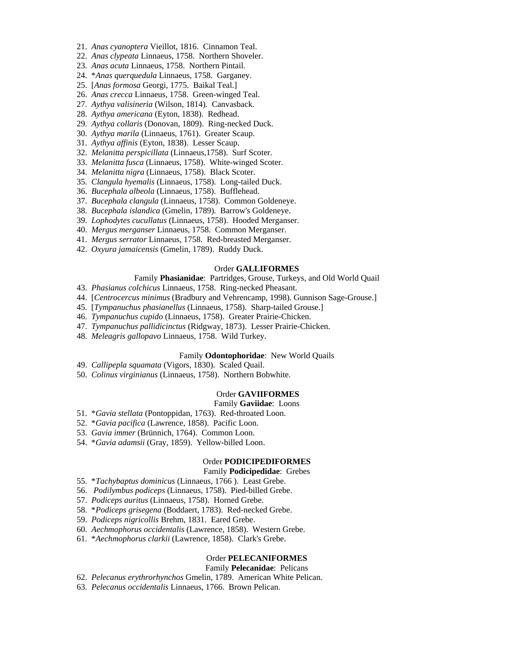- 21. *Anas cyanoptera* Vieillot, 1816. Cinnamon Teal.
- 22. *Anas clypeata* Linnaeus, 1758. Northern Shoveler.
- 23. *Anas acuta* Linnaeus, 1758. Northern Pintail.
- 24. \**Anas querquedula* Linnaeus, 1758. Garganey.
- 25. [*Anas formosa* Georgi, 1775. Baikal Teal.]
- 26. *Anas crecca* Linnaeus, 1758. Green-winged Teal.
- 27. *Aythya valisineria* (Wilson, 1814). Canvasback.
- 28. *Aythya americana* (Eyton, 1838). Redhead.
- 29. *Aythya collaris* (Donovan, 1809). Ring-necked Duck.
- 30. *Aythya marila* (Linnaeus, 1761). Greater Scaup.
- 31. *Aythya affinis* (Eyton, 1838). Lesser Scaup.
- 32. *Melanitta perspicillata* (Linnaeus,1758). Surf Scoter.
- 33. *Melanitta fusca* (Linnaeus, 1758). White-winged Scoter.
- 34. *Melanitta nigra* (Linnaeus, 1758). Black Scoter.
- 35. *Clangula hyemalis* (Linnaeus, 1758). Long-tailed Duck.
- 36. *Bucephala albeola* (Linnaeus, 1758). Bufflehead.
- 37. *Bucephala clangula* (Linnaeus, 1758). Common Goldeneye.
- 38. *Bucephala islandica* (Gmelin, 1789). Barrow's Goldeneye.
- 39. *Lophodytes cucullatus* (Linnaeus, 1758). Hooded Merganser.
- 40. *Mergus merganser* Linnaeus, 1758. Common Merganser.
- 41. *Mergus serrator* Linnaeus, 1758. Red-breasted Merganser.
- 42. *Oxyura jamaicensis* (Gmelin, 1789). Ruddy Duck.

## Order **GALLIFORMES**

## Family **Phasianidae**: Partridges, Grouse, Turkeys, and Old World Quail

- 43. *Phasianus colchicus* Linnaeus, 1758. Ring-necked Pheasant.
- 44. [*Centrocercus minimus* (Bradbury and Vehrencamp, 1998). Gunnison Sage-Grouse.]
- 45. [*Tympanuchus phasianellus* (Linnaeus, 1758). Sharp-tailed Grouse.]
- 46. *Tympanuchus cupido* (Linnaeus, 1758). Greater Prairie-Chicken.
- 47. *Tympanuchus pallidicinctus* (Ridgway, 1873). Lesser Prairie-Chicken.
- 48. *Meleagris gallopavo* Linnaeus, 1758. Wild Turkey.

## Family **Odontophoridae**: New World Quails

- 49. *Callipepla squamata* (Vigors, 1830). Scaled Quail.
- 50. *Colinus virginianus* (Linnaeus, 1758). Northern Bobwhite.

## Order **GAVIIFORMES**

## Family **Gaviidae**: Loons

- 51. \**Gavia stellata* (Pontoppidan, 1763). Red-throated Loon.
- 52. \**Gavia pacifica* (Lawrence, 1858). Pacific Loon.
- 53. *Gavia immer* (Brünnich, 1764). Common Loon.
- 54. \**Gavia adamsii* (Gray, 1859). Yellow-billed Loon.

## Order **PODICIPEDIFORMES**

# Family **Podicipedidae**: Grebes

- 55. \**Tachybaptus dominicus* (Linnaeus, 1766 ). Least Grebe.
- 56. *Podilymbus podiceps* (Linnaeus, 1758). Pied-billed Grebe.
- 57. *Podiceps auritus* (Linnaeus, 1758). Horned Grebe.
- 58. \**Podiceps grisegena* (Boddaert, 1783). Red-necked Grebe.
- 59. *Podiceps nigricollis* Brehm, 1831. Eared Grebe.
- 60. *Aechmophorus occidentalis* (Lawrence, 1858). Western Grebe.
- 61. \**Aechmophorus clarkii* (Lawrence, 1858). Clark's Grebe.

### Order **PELECANIFORMES**

## Family **Pelecanidae**: Pelicans

62. *Pelecanus erythrorhynchos* Gmelin, 1789. American White Pelican.

63. *Pelecanus occidentalis* Linnaeus, 1766. Brown Pelican.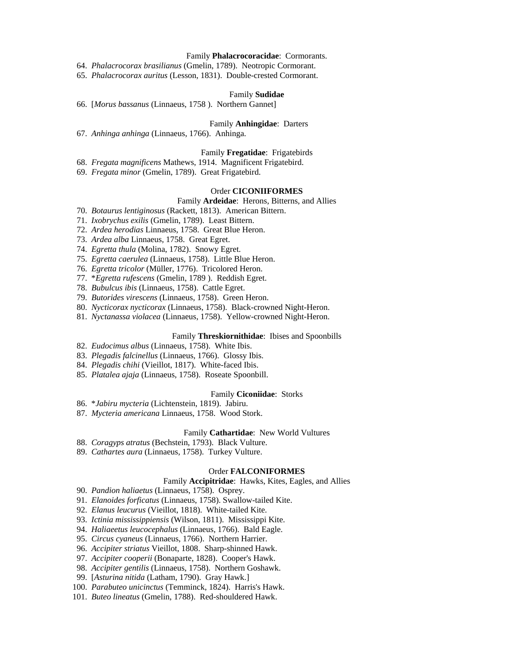## Family **Phalacrocoracidae**: Cormorants.

64. *Phalacrocorax brasilianus* (Gmelin, 1789). Neotropic Cormorant.

65. *Phalacrocorax auritus* (Lesson, 1831). Double-crested Cormorant.

### Family **Sudidae**

66. [*Morus bassanus* (Linnaeus, 1758 ). Northern Gannet]

### Family **Anhingidae**: Darters

67. *Anhinga anhinga* (Linnaeus, 1766). Anhinga.

## Family **Fregatidae**: Frigatebirds

68. *Fregata magnificens* Mathews, 1914. Magnificent Frigatebird.

69. *Fregata minor* (Gmelin, 1789). Great Frigatebird.

#### Order **CICONIIFORMES**

## Family **Ardeidae**: Herons, Bitterns, and Allies

70. *Botaurus lentiginosus* (Rackett, 1813). American Bittern.

71. *Ixobrychus exilis* (Gmelin, 1789). Least Bittern.

- 72. *Ardea herodias* Linnaeus, 1758. Great Blue Heron.
- 73. *Ardea alba* Linnaeus, 1758. Great Egret.
- 74. *Egretta thula* (Molina, 1782). Snowy Egret.
- 75. *Egretta caerulea* (Linnaeus, 1758). Little Blue Heron.
- 76. *Egretta tricolor* (Müller, 1776). Tricolored Heron.
- 77. \**Egretta rufescens* (Gmelin, 1789 ). Reddish Egret.
- 78. *Bubulcus ibis* (Linnaeus, 1758). Cattle Egret.
- 79. *Butorides virescens* (Linnaeus, 1758). Green Heron.
- 80. *Nycticorax nycticorax* (Linnaeus, 1758). Black-crowned Night-Heron.
- 81. *Nyctanassa violacea* (Linnaeus, 1758). Yellow-crowned Night-Heron.

### Family **Threskiornithidae**: Ibises and Spoonbills

- 82. *Eudocimus albus* (Linnaeus, 1758). White Ibis.
- 83. *Plegadis falcinellus* (Linnaeus, 1766). Glossy Ibis.
- 84. *Plegadis chihi* (Vieillot, 1817). White-faced Ibis.
- 85. *Platalea ajaja* (Linnaeus, 1758). Roseate Spoonbill.

## Family **Ciconiidae**: Storks

- 86. \**Jabiru mycteria* (Lichtenstein, 1819). Jabiru.
- 87. *Mycteria americana* Linnaeus, 1758. Wood Stork.

## Family **Cathartidae**: New World Vultures

- 88. *Coragyps atratus* (Bechstein, 1793). Black Vulture.
- 89. *Cathartes aura* (Linnaeus, 1758). Turkey Vulture.

### Order **FALCONIFORMES**

### Family **Accipitridae**: Hawks, Kites, Eagles, and Allies

- 90. *Pandion haliaetus* (Linnaeus, 1758). Osprey.
- 91. *Elanoides forficatus* (Linnaeus, 1758). Swallow-tailed Kite.
- 92. *Elanus leucurus* (Vieillot, 1818). White-tailed Kite.
- 93. *Ictinia mississippiensis* (Wilson, 1811). Mississippi Kite.
- 94. *Haliaeetus leucocephalus* (Linnaeus, 1766). Bald Eagle.
- 95. *Circus cyaneus* (Linnaeus, 1766). Northern Harrier.
- 96. *Accipiter striatus* Vieillot, 1808. Sharp-shinned Hawk.
- 97. *Accipiter cooperii* (Bonaparte, 1828). Cooper's Hawk.
- 98. *Accipiter gentilis* (Linnaeus, 1758). Northern Goshawk.
- 99. [*Asturina nitida* (Latham, 1790). Gray Hawk.]
- 100. *Parabuteo unicinctus* (Temminck, 1824). Harris's Hawk.
- 101. *Buteo lineatus* (Gmelin, 1788). Red-shouldered Hawk.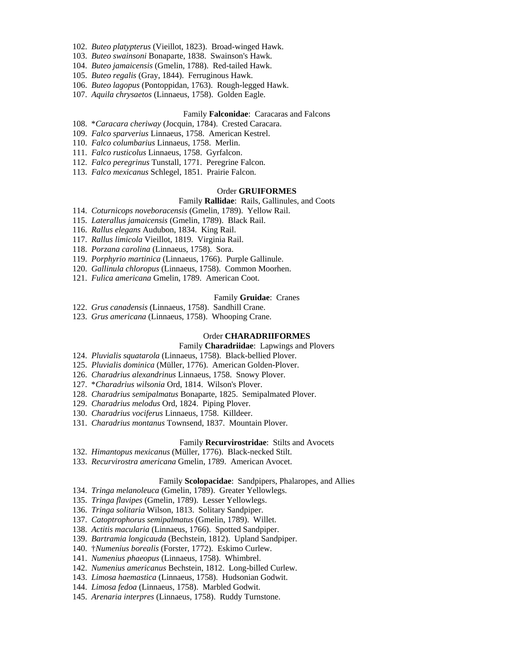- 102. *Buteo platypterus* (Vieillot, 1823). Broad-winged Hawk.
- 103. *Buteo swainsoni* Bonaparte, 1838. Swainson's Hawk.
- 104. *Buteo jamaicensis* (Gmelin, 1788). Red-tailed Hawk.
- 105. *Buteo regalis* (Gray, 1844). Ferruginous Hawk.
- 106. *Buteo lagopus* (Pontoppidan, 1763). Rough-legged Hawk.
- 107. *Aquila chrysaetos* (Linnaeus, 1758). Golden Eagle.

#### Family **Falconidae**: Caracaras and Falcons

- 108. \**Caracara cheriway* (Jocquin, 1784). Crested Caracara.
- 109. *Falco sparverius* Linnaeus, 1758. American Kestrel.
- 110. *Falco columbarius* Linnaeus, 1758. Merlin.
- 111. *Falco rusticolus* Linnaeus, 1758. Gyrfalcon.
- 112. *Falco peregrinus* Tunstall, 1771. Peregrine Falcon.
- 113. *Falco mexicanus* Schlegel, 1851. Prairie Falcon.

### Order **GRUIFORMES**

## Family **Rallidae**: Rails, Gallinules, and Coots

- 114. *Coturnicops noveboracensis* (Gmelin, 1789). Yellow Rail.
- 115. *Laterallus jamaicensis* (Gmelin, 1789). Black Rail.
- 116. *Rallus elegans* Audubon, 1834. King Rail.
- 117. *Rallus limicola* Vieillot, 1819. Virginia Rail.
- 118. *Porzana carolina* (Linnaeus, 1758). Sora.
- 119. *Porphyrio martinica* (Linnaeus, 1766). Purple Gallinule.
- 120. *Gallinula chloropus* (Linnaeus, 1758). Common Moorhen.
- 121. *Fulica americana* Gmelin, 1789. American Coot.

## Family **Gruidae**: Cranes

- 122. *Grus canadensis* (Linnaeus, 1758). Sandhill Crane.
- 123. *Grus americana* (Linnaeus, 1758). Whooping Crane.

### Order **CHARADRIIFORMES**

### Family **Charadriidae**: Lapwings and Plovers

- 124. *Pluvialis squatarola* (Linnaeus, 1758). Black-bellied Plover.
- 125. *Pluvialis dominica* (Müller, 1776). American Golden-Plover.
- 126. *Charadrius alexandrinus* Linnaeus, 1758. Snowy Plover.
- 127. \**Charadrius wilsonia* Ord, 1814. Wilson's Plover.
- 128. *Charadrius semipalmatus* Bonaparte, 1825. Semipalmated Plover.
- 129. *Charadrius melodus* Ord, 1824. Piping Plover.
- 130. *Charadrius vociferus* Linnaeus, 1758. Killdeer.
- 131. *Charadrius montanus* Townsend, 1837. Mountain Plover.

### Family **Recurvirostridae**: Stilts and Avocets

- 132. *Himantopus mexicanus* (Müller, 1776). Black-necked Stilt.
- 133. *Recurvirostra americana* Gmelin, 1789. American Avocet.

## Family **Scolopacidae**: Sandpipers, Phalaropes, and Allies

- 134. *Tringa melanoleuca* (Gmelin, 1789). Greater Yellowlegs.
- 135. *Tringa flavipes* (Gmelin, 1789). Lesser Yellowlegs.
- 136. *Tringa solitaria* Wilson, 1813. Solitary Sandpiper.
- 137. *Catoptrophorus semipalmatus* (Gmelin, 1789). Willet.
- 138. *Actitis macularia* (Linnaeus, 1766). Spotted Sandpiper.
- 139. *Bartramia longicauda* (Bechstein, 1812). Upland Sandpiper.
- 140. †*Numenius borealis* (Forster, 1772). Eskimo Curlew.
- 141. *Numenius phaeopus* (Linnaeus, 1758). Whimbrel.
- 142. *Numenius americanus* Bechstein, 1812. Long-billed Curlew.
- 143. *Limosa haemastica* (Linnaeus, 1758). Hudsonian Godwit.
- 144. *Limosa fedoa* (Linnaeus, 1758). Marbled Godwit.
- 145. *Arenaria interpres* (Linnaeus, 1758). Ruddy Turnstone.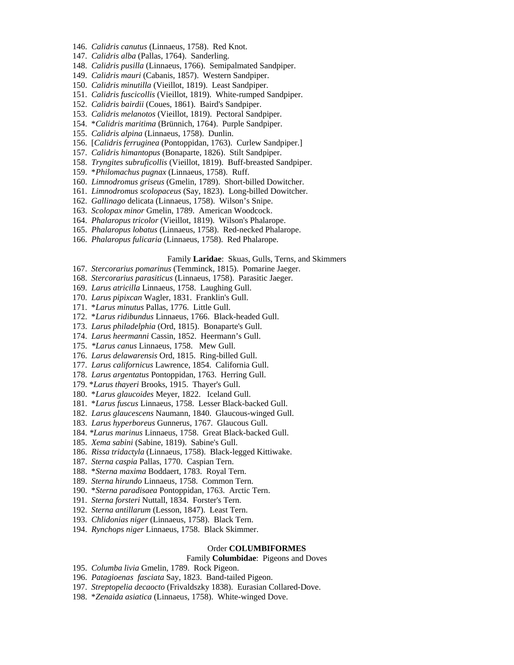- 146. *Calidris canutus* (Linnaeus, 1758). Red Knot.
- 147. *Calidris alba* (Pallas, 1764). Sanderling.
- 148. *Calidris pusilla* (Linnaeus, 1766). Semipalmated Sandpiper.
- 149. *Calidris mauri* (Cabanis, 1857). Western Sandpiper.
- 150. *Calidris minutilla* (Vieillot, 1819). Least Sandpiper.
- 151. *Calidris fuscicollis* (Vieillot, 1819). White-rumped Sandpiper.
- 152. *Calidris bairdii* (Coues, 1861). Baird's Sandpiper.
- 153. *Calidris melanotos* (Vieillot, 1819). Pectoral Sandpiper.
- 154. \**Calidris maritima* (Brünnich, 1764). Purple Sandpiper.
- 155. *Calidris alpina* (Linnaeus, 1758). Dunlin.
- 156. [*Calidris ferruginea* (Pontoppidan, 1763). Curlew Sandpiper.]
- 157. *Calidris himantopus* (Bonaparte, 1826). Stilt Sandpiper.
- 158. *Tryngites subruficollis* (Vieillot, 1819). Buff-breasted Sandpiper.
- 159. \**Philomachus pugnax* (Linnaeus, 1758). Ruff.
- 160. *Limnodromus griseus* (Gmelin, 1789). Short-billed Dowitcher.
- 161. *Limnodromus scolopaceus* (Say, 1823). Long-billed Dowitcher.
- 162. *Gallinago* delicata (Linnaeus, 1758). Wilson's Snipe.
- 163. *Scolopax minor* Gmelin, 1789. American Woodcock.
- 164. *Phalaropus tricolor* (Vieillot, 1819). Wilson's Phalarope.
- 165. *Phalaropus lobatus* (Linnaeus, 1758). Red-necked Phalarope.
- 166. *Phalaropus fulicaria* (Linnaeus, 1758). Red Phalarope.

### Family **Laridae**: Skuas, Gulls, Terns, and Skimmers

- 167. *Stercorarius pomarinus* (Temminck, 1815). Pomarine Jaeger.
- 168. *Stercorarius parasiticus* (Linnaeus, 1758). Parasitic Jaeger.
- 169. *Larus atricilla* Linnaeus, 1758. Laughing Gull.
- 170. *Larus pipixcan* Wagler, 1831. Franklin's Gull.
- 171. \**Larus minutus* Pallas, 1776. Little Gull.
- 172. \**Larus ridibundus* Linnaeus, 1766. Black-headed Gull.
- 173. *Larus philadelphia* (Ord, 1815). Bonaparte's Gull.
- 174. *Larus heermanni* Cassin, 1852. Heermann's Gull.
- 175. *\*Larus canus* Linnaeus, 1758. Mew Gull.
- 176. *Larus delawarensis* Ord, 1815. Ring-billed Gull.
- 177. *Larus californicus* Lawrence, 1854. California Gull.
- 178. *Larus argentatus* Pontoppidan, 1763. Herring Gull.
- 179. \**Larus thayeri* Brooks, 1915. Thayer's Gull.
- 180. \**Larus glaucoides* Meyer, 1822. Iceland Gull.
- 181. \**Larus fuscus* Linnaeus, 1758. Lesser Black-backed Gull.
- 182. *Larus glaucescens* Naumann, 1840. Glaucous-winged Gull.
- 183. *Larus hyperboreus* Gunnerus, 1767. Glaucous Gull.
- 184. *\*Larus marinus* Linnaeus, 1758. Great Black-backed Gull.
- 185. *Xema sabini* (Sabine, 1819). Sabine's Gull.
- 186. *Rissa tridactyla* (Linnaeus, 1758). Black-legged Kittiwake.
- 187. *Sterna caspia* Pallas, 1770. Caspian Tern.
- 188. \**Sterna maxima* Boddaert, 1783. Royal Tern.
- 189. *Sterna hirundo* Linnaeus, 1758. Common Tern.
- 190. \**Sterna paradisaea* Pontoppidan, 1763. Arctic Tern.
- 191. *Sterna forsteri* Nuttall, 1834. Forster's Tern.
- 192. *Sterna antillarum* (Lesson, 1847). Least Tern.
- 193. *Chlidonias niger* (Linnaeus, 1758). Black Tern.
- 194. *Rynchops niger* Linnaeus, 1758. Black Skimmer.

## Order **COLUMBIFORMES**

## Family **Columbidae**: Pigeons and Doves

- 195. *Columba livia* Gmelin, 1789. Rock Pigeon.
- 196. *Patagioenas fasciata* Say, 1823. Band-tailed Pigeon.
- 197. *Streptopelia decaocto* (Frivaldszky 1838). Eurasian Collared-Dove.
- 198. \**Zenaida asiatica* (Linnaeus, 1758). White-winged Dove.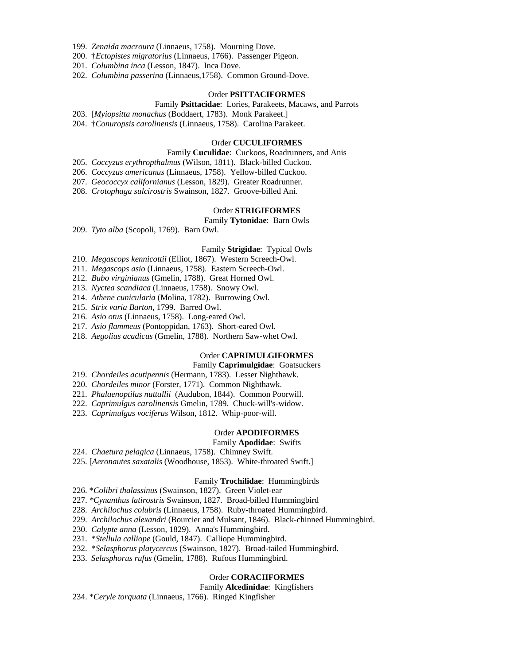- 199. *Zenaida macroura* (Linnaeus, 1758). Mourning Dove.
- 200. †*Ectopistes migratorius* (Linnaeus, 1766). Passenger Pigeon.
- 201. *Columbina inca* (Lesson, 1847). Inca Dove.
- 202. *Columbina passerina* (Linnaeus,1758). Common Ground-Dove.

### Order **PSITTACIFORMES**

### Family **Psittacidae**: Lories, Parakeets, Macaws, and Parrots

- 203. [*Myiopsitta monachus* (Boddaert, 1783). Monk Parakeet.]
- 204. †*Conuropsis carolinensis* (Linnaeus, 1758). Carolina Parakeet.

#### Order **CUCULIFORMES**

### Family **Cuculidae**: Cuckoos, Roadrunners, and Anis

- 205. *Coccyzus erythropthalmus* (Wilson, 1811). Black-billed Cuckoo.
- 206. *Coccyzus americanus* (Linnaeus, 1758). Yellow-billed Cuckoo.
- 207. *Geococcyx californianus* (Lesson, 1829). Greater Roadrunner.
- 208. *Crotophaga sulcirostris* Swainson, 1827. Groove-billed Ani.

### Order **STRIGIFORMES**

Family **Tytonidae**: Barn Owls

209. *Tyto alba* (Scopoli, 1769). Barn Owl.

### Family **Strigidae**: Typical Owls

- 210. *Megascops kennicottii* (Elliot, 1867). Western Screech-Owl.
- 211. *Megascops asio* (Linnaeus, 1758). Eastern Screech-Owl.
- 212. *Bubo virginianus* (Gmelin, 1788). Great Horned Owl.
- 213. *Nyctea scandiaca* (Linnaeus, 1758). Snowy Owl.
- 214. *Athene cunicularia* (Molina, 1782). Burrowing Owl.
- 215. *Strix varia Barton*, 1799. Barred Owl.
- 216. *Asio otus* (Linnaeus, 1758). Long-eared Owl.
- 217. *Asio flammeus* (Pontoppidan, 1763). Short-eared Owl.
- 218. *Aegolius acadicus* (Gmelin, 1788). Northern Saw-whet Owl.

## Order **CAPRIMULGIFORMES**

## Family **Caprimulgidae**: Goatsuckers

- 219. *Chordeiles acutipennis* (Hermann, 1783). Lesser Nighthawk.
- 220. *Chordeiles minor* (Forster, 1771). Common Nighthawk.
- 221. *Phalaenoptilus nuttallii* (Audubon, 1844). Common Poorwill.
- 222. *Caprimulgus carolinensis* Gmelin, 1789. Chuck-will's-widow.
- 223. *Caprimulgus vociferus* Wilson, 1812. Whip-poor-will.

## Order **APODIFORMES**

## Family **Apodidae**: Swifts

- 224. *Chaetura pelagica* (Linnaeus, 1758). Chimney Swift.
- 225. [*Aeronautes saxatalis* (Woodhouse, 1853). White-throated Swift.]

### Family **Trochilidae**: Hummingbirds

- 226. \**Colibri thalassinus* (Swainson, 1827). Green Violet-ear
- 227. *\*Cynanthus latirostris* Swainson, 1827. Broad-billed Hummingbird
- 228. *Archilochus colubris* (Linnaeus, 1758). Ruby-throated Hummingbird.
- 229. *Archilochus alexandri* (Bourcier and Mulsant, 1846). Black-chinned Hummingbird.
- 230. *Calypte anna* (Lesson, 1829). Anna's Hummingbird.
- 231. \**Stellula calliope* (Gould, 1847). Calliope Hummingbird.
- 232. \**Selasphorus platycercus* (Swainson, 1827). Broad-tailed Hummingbird.
- 233. *Selasphorus rufus* (Gmelin, 1788). Rufous Hummingbird.

### Order **CORACIIFORMES**

### Family **Alcedinidae**: Kingfishers

234. \**Ceryle torquata* (Linnaeus, 1766). Ringed Kingfisher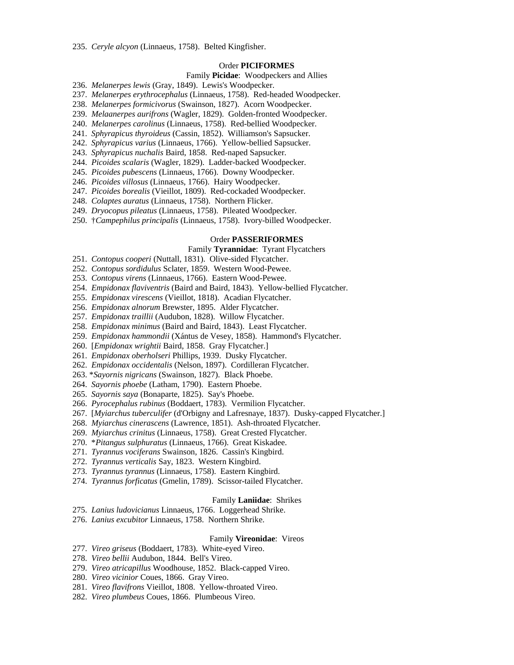## Order **PICIFORMES**

### Family **Picidae**: Woodpeckers and Allies

- 236. *Melanerpes lewis* (Gray, 1849). Lewis's Woodpecker.
- 237. *Melanerpes erythrocephalus* (Linnaeus, 1758). Red-headed Woodpecker.
- 238. *Melanerpes formicivorus* (Swainson, 1827). Acorn Woodpecker.
- 239. *Melaanerpes aurifrons* (Wagler, 1829). Golden-fronted Woodpecker.
- 240. *Melanerpes carolinus* (Linnaeus, 1758). Red-bellied Woodpecker.
- 241. *Sphyrapicus thyroideus* (Cassin, 1852). Williamson's Sapsucker.
- 242. *Sphyrapicus varius* (Linnaeus, 1766). Yellow-bellied Sapsucker.
- 243. *Sphyrapicus nuchalis* Baird, 1858. Red-naped Sapsucker.
- 244. *Picoides scalaris* (Wagler, 1829). Ladder-backed Woodpecker.
- 245. *Picoides pubescens* (Linnaeus, 1766). Downy Woodpecker.
- 246. *Picoides villosus* (Linnaeus, 1766). Hairy Woodpecker.
- 247. *Picoides borealis* (Vieillot, 1809). Red-cockaded Woodpecker.
- 248. *Colaptes auratus* (Linnaeus, 1758). Northern Flicker.
- 249. *Dryocopus pileatus* (Linnaeus, 1758). Pileated Woodpecker.
- 250. †*Campephilus principalis* (Linnaeus, 1758). Ivory-billed Woodpecker.

## Order **PASSERIFORMES**

## Family **Tyrannidae**: Tyrant Flycatchers

- 251. *Contopus cooperi* (Nuttall, 1831). Olive-sided Flycatcher.
- 252. *Contopus sordidulus* Sclater, 1859. Western Wood-Pewee.
- 253. *Contopus virens* (Linnaeus, 1766). Eastern Wood-Pewee.
- 254. *Empidonax flaviventris* (Baird and Baird, 1843). Yellow-bellied Flycatcher.
- 255. *Empidonax virescens* (Vieillot, 1818). Acadian Flycatcher.
- 256. *Empidonax alnorum* Brewster, 1895. Alder Flycatcher.
- 257. *Empidonax traillii* (Audubon, 1828). Willow Flycatcher.
- 258. *Empidonax minimus* (Baird and Baird, 1843). Least Flycatcher.
- 259. *Empidonax hammondii* (Xántus de Vesey, 1858). Hammond's Flycatcher.
- 260. [*Empidonax wrightii* Baird, 1858. Gray Flycatcher.]
- 261. *Empidonax oberholseri* Phillips, 1939. Dusky Flycatcher.
- 262. *Empidonax occidentalis* (Nelson, 1897). Cordilleran Flycatcher.
- 263. \**Sayornis nigricans* (Swainson, 1827). Black Phoebe.
- 264. *Sayornis phoebe* (Latham, 1790). Eastern Phoebe.
- 265. *Sayornis saya* (Bonaparte, 1825). Say's Phoebe.
- 266. *Pyrocephalus rubinus* (Boddaert, 1783). Vermilion Flycatcher.
- 267. [*Myiarchus tuberculifer* (d'Orbigny and Lafresnaye, 1837). Dusky-capped Flycatcher.]
- 268. *Myiarchus cinerascens* (Lawrence, 1851). Ash-throated Flycatcher.
- 269. *Myiarchus crinitus* (Linnaeus, 1758). Great Crested Flycatcher.
- 270. \**Pitangus sulphuratus* (Linnaeus, 1766). Great Kiskadee.
- 271. *Tyrannus vociferans* Swainson, 1826. Cassin's Kingbird.
- 272. *Tyrannus verticalis* Say, 1823. Western Kingbird.
- 273. *Tyrannus tyrannus* (Linnaeus, 1758). Eastern Kingbird.
- 274. *Tyrannus forficatus* (Gmelin, 1789). Scissor-tailed Flycatcher.

### Family **Laniidae**: Shrikes

- 275. *Lanius ludovicianus* Linnaeus, 1766. Loggerhead Shrike.
- 276. *Lanius excubitor* Linnaeus, 1758. Northern Shrike.

#### Family **Vireonidae**: Vireos

- 277. *Vireo griseus* (Boddaert, 1783). White-eyed Vireo.
- 278. *Vireo bellii* Audubon, 1844. Bell's Vireo.
- 279. *Vireo atricapillus* Woodhouse, 1852. Black-capped Vireo.
- 280. *Vireo vicinior* Coues, 1866. Gray Vireo.
- 281. *Vireo flavifrons* Vieillot, 1808. Yellow-throated Vireo.
- 282. *Vireo plumbeus* Coues, 1866. Plumbeous Vireo.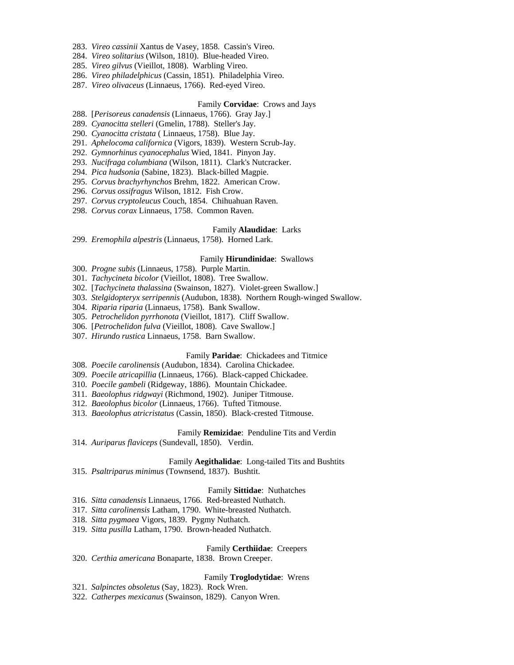- 283. *Vireo cassinii* Xantus de Vasey, 1858. Cassin's Vireo.
- 284. *Vireo solitarius* (Wilson, 1810). Blue-headed Vireo.
- 285. *Vireo gilvus* (Vieillot, 1808). Warbling Vireo.
- 286. *Vireo philadelphicus* (Cassin, 1851). Philadelphia Vireo.
- 287. *Vireo olivaceus* (Linnaeus, 1766). Red-eyed Vireo.

## Family **Corvidae**: Crows and Jays

- 288. [*Perisoreus canadensis* (Linnaeus, 1766). Gray Jay.]
- 289. *Cyanocitta stelleri* (Gmelin, 1788). Steller's Jay.
- 290. *Cyanocitta cristata* ( Linnaeus, 1758). Blue Jay.
- 291. *Aphelocoma californica* (Vigors, 1839). Western Scrub-Jay.
- 292. *Gymnorhinus cyanocephalus* Wied, 1841. Pinyon Jay.
- 293. *Nucifraga columbiana* (Wilson, 1811). Clark's Nutcracker.
- 294. *Pica hudsonia* (Sabine, 1823). Black-billed Magpie.
- 295. *Corvus brachyrhynchos* Brehm, 1822. American Crow.
- 296. *Corvus ossifragus* Wilson, 1812. Fish Crow.
- 297. *Corvus cryptoleucus* Couch, 1854. Chihuahuan Raven.
- 298. *Corvus corax* Linnaeus, 1758. Common Raven.

### Family **Alaudidae**: Larks

299. *Eremophila alpestris* (Linnaeus, 1758). Horned Lark.

### Family **Hirundinidae**: Swallows

- 300. *Progne subis* (Linnaeus, 1758). Purple Martin.
- 301. *Tachycineta bicolor* (Vieillot, 1808). Tree Swallow.
- 302. [*Tachycineta thalassina* (Swainson, 1827). Violet-green Swallow.]
- 303. *Stelgidopteryx serripennis* (Audubon, 1838). Northern Rough-winged Swallow.
- 304. *Riparia riparia* (Linnaeus, 1758). Bank Swallow.
- 305. *Petrochelidon pyrrhonota* (Vieillot, 1817). Cliff Swallow.
- 306. [*Petrochelidon fulva* (Vieillot, 1808). Cave Swallow.]
- 307. *Hirundo rustica* Linnaeus, 1758. Barn Swallow.

## Family **Paridae**: Chickadees and Titmice

- 308. *Poecile carolinensis* (Audubon, 1834). Carolina Chickadee.
- 309. *Poecile atricapillia* (Linnaeus, 1766). Black-capped Chickadee.
- 310. *Poecile gambeli* (Ridgeway, 1886). Mountain Chickadee.
- 311. *Baeolophus ridgwayi* (Richmond, 1902). Juniper Titmouse.
- 312. *Baeolophus bicolor* (Linnaeus, 1766). Tufted Titmouse.
- 313. *Baeolophus atricristatus* (Cassin, 1850). Black-crested Titmouse.

## Family **Remizidae**: Penduline Tits and Verdin

314. *Auriparus flaviceps* (Sundevall, 1850). Verdin.

### Family **Aegithalidae**: Long-tailed Tits and Bushtits

315. *Psaltriparus minimus* (Townsend, 1837). Bushtit.

### Family **Sittidae**: Nuthatches

- 316. *Sitta canadensis* Linnaeus, 1766. Red-breasted Nuthatch.
- 317. *Sitta carolinensis* Latham, 1790. White-breasted Nuthatch.
- 318. *Sitta pygmaea* Vigors, 1839. Pygmy Nuthatch.
- 319. *Sitta pusilla* Latham, 1790. Brown-headed Nuthatch.

## Family **Certhiidae**: Creepers

320. *Certhia americana* Bonaparte, 1838. Brown Creeper.

### Family **Troglodytidae**: Wrens

- 321. *Salpinctes obsoletus* (Say, 1823). Rock Wren.
- 322. *Catherpes mexicanus* (Swainson, 1829). Canyon Wren.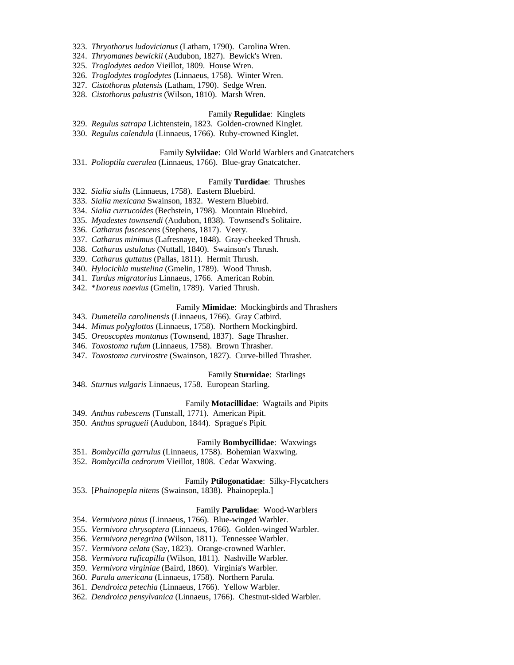- 323. *Thryothorus ludovicianus* (Latham, 1790). Carolina Wren.
- 324. *Thryomanes bewickii* (Audubon, 1827). Bewick's Wren.
- 325. *Troglodytes aedon* Vieillot, 1809. House Wren.
- 326. *Troglodytes troglodytes* (Linnaeus, 1758). Winter Wren.
- 327. *Cistothorus platensis* (Latham, 1790). Sedge Wren.
- 328. *Cistothorus palustris* (Wilson, 1810). Marsh Wren.

## Family **Regulidae**: Kinglets

- 329. *Regulus satrapa* Lichtenstein, 1823. Golden-crowned Kinglet.
- 330. *Regulus calendula* (Linnaeus, 1766). Ruby-crowned Kinglet.

## Family **Sylviidae**: Old World Warblers and Gnatcatchers

331. *Polioptila caerulea* (Linnaeus, 1766). Blue-gray Gnatcatcher.

## Family **Turdidae**: Thrushes

- 332. *Sialia sialis* (Linnaeus, 1758). Eastern Bluebird.
- 333. *Sialia mexicana* Swainson, 1832. Western Bluebird.
- 334. *Sialia currucoides* (Bechstein, 1798). Mountain Bluebird.
- 335. *Myadestes townsendi* (Audubon, 1838). Townsend's Solitaire.
- 336. *Catharus fuscescens* (Stephens, 1817). Veery.
- 337. *Catharus minimus* (Lafresnaye, 1848). Gray-cheeked Thrush.
- 338. *Catharus ustulatus* (Nuttall, 1840). Swainson's Thrush.
- 339. *Catharus guttatus* (Pallas, 1811). Hermit Thrush.
- 340. *Hylocichla mustelina* (Gmelin, 1789). Wood Thrush.
- 341. *Turdus migratorius* Linnaeus, 1766. American Robin.
- 342. \**Ixoreus naevius* (Gmelin, 1789). Varied Thrush.

#### Family **Mimidae**: Mockingbirds and Thrashers

- 343. *Dumetella carolinensis* (Linnaeus, 1766). Gray Catbird.
- 344. *Mimus polyglottos* (Linnaeus, 1758). Northern Mockingbird.
- 345. *Oreoscoptes montanus* (Townsend, 1837). Sage Thrasher.
- 346. *Toxostoma rufum* (Linnaeus, 1758). Brown Thrasher.
- 347. *Toxostoma curvirostre* (Swainson, 1827). Curve-billed Thrasher.

## Family **Sturnidae**: Starlings

348. *Sturnus vulgaris* Linnaeus, 1758. European Starling.

#### Family **Motacillidae**: Wagtails and Pipits

- 349. *Anthus rubescens* (Tunstall, 1771). American Pipit.
- 350. *Anthus spragueii* (Audubon, 1844). Sprague's Pipit.

### Family **Bombycillidae**: Waxwings

- 351. *Bombycilla garrulus* (Linnaeus, 1758). Bohemian Waxwing.
- 352. *Bombycilla cedrorum* Vieillot, 1808. Cedar Waxwing.

## Family **Ptilogonatidae**: Silky-Flycatchers

353. [*Phainopepla nitens* (Swainson, 1838). Phainopepla.]

## Family **Parulidae**: Wood-Warblers

- 354. *Vermivora pinus* (Linnaeus, 1766). Blue-winged Warbler.
- 355. *Vermivora chrysoptera* (Linnaeus, 1766). Golden-winged Warbler.
- 356. *Vermivora peregrina* (Wilson, 1811). Tennessee Warbler.
- 357. *Vermivora celata* (Say, 1823). Orange-crowned Warbler.
- 358. *Vermivora ruficapilla* (Wilson, 1811). Nashville Warbler.
- 359. *Vermivora virginiae* (Baird, 1860). Virginia's Warbler.
- 360. *Parula americana* (Linnaeus, 1758). Northern Parula.
- 361. *Dendroica petechia* (Linnaeus, 1766). Yellow Warbler.
- 362. *Dendroica pensylvanica* (Linnaeus, 1766). Chestnut-sided Warbler.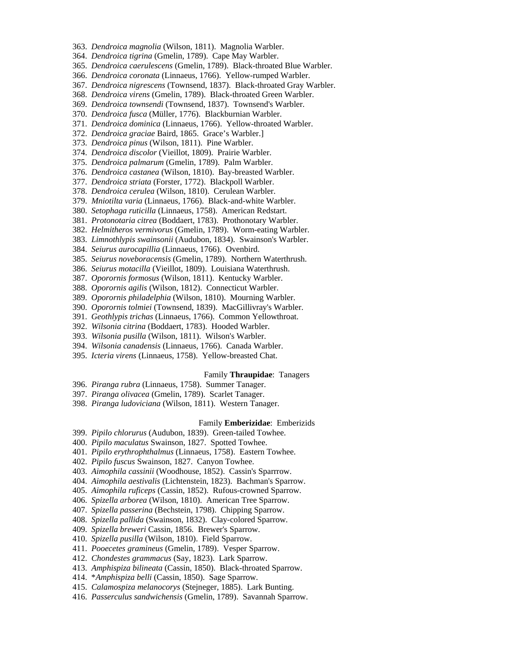- 363. *Dendroica magnolia* (Wilson, 1811). Magnolia Warbler.
- 364. *Dendroica tigrina* (Gmelin, 1789). Cape May Warbler.
- 365. *Dendroica caerulescens* (Gmelin, 1789). Black-throated Blue Warbler.
- 366. *Dendroica coronata* (Linnaeus, 1766). Yellow-rumped Warbler.
- 367. *Dendroica nigrescens* (Townsend, 1837). Black-throated Gray Warbler.
- 368. *Dendroica virens* (Gmelin, 1789). Black-throated Green Warbler.
- 369. *Dendroica townsendi* (Townsend, 1837). Townsend's Warbler.
- 370. *Dendroica fusca* (Müller, 1776). Blackburnian Warbler.
- 371. *Dendroica dominica* (Linnaeus, 1766). Yellow-throated Warbler.
- 372. *Dendroica graciae* Baird, 1865. Grace's Warbler.]
- 373. *Dendroica pinus* (Wilson, 1811). Pine Warbler.
- 374. *Dendroica discolor* (Vieillot, 1809). Prairie Warbler.
- 375. *Dendroica palmarum* (Gmelin, 1789). Palm Warbler.
- 376. *Dendroica castanea* (Wilson, 1810). Bay-breasted Warbler.
- 377. *Dendroica striata* (Forster, 1772). Blackpoll Warbler.
- 378. *Dendroica cerulea* (Wilson, 1810). Cerulean Warbler.
- 379. *Mniotilta varia* (Linnaeus, 1766). Black-and-white Warbler.
- 380. *Setophaga ruticilla* (Linnaeus, 1758). American Redstart.
- 381. *Protonotaria citrea* (Boddaert, 1783). Prothonotary Warbler.
- 382. *Helmitheros vermivorus* (Gmelin, 1789). Worm-eating Warbler.
- 383. *Limnothlypis swainsonii* (Audubon, 1834). Swainson's Warbler.
- 384. *Seiurus aurocapillia* (Linnaeus, 1766). Ovenbird.
- 385. *Seiurus noveboracensis* (Gmelin, 1789). Northern Waterthrush.
- 386. *Seiurus motacilla* (Vieillot, 1809). Louisiana Waterthrush.
- 387. *Oporornis formosus* (Wilson, 1811). Kentucky Warbler.
- 388. *Oporornis agilis* (Wilson, 1812). Connecticut Warbler.
- 389. *Oporornis philadelphia* (Wilson, 1810). Mourning Warbler.
- 390. *Oporornis tolmiei* (Townsend, 1839). MacGillivray's Warbler.
- 391. *Geothlypis trichas* (Linnaeus, 1766). Common Yellowthroat.
- 392. *Wilsonia citrina* (Boddaert, 1783). Hooded Warbler.
- 393. *Wilsonia pusilla* (Wilson, 1811). Wilson's Warbler.
- 394. *Wilsonia canadensis* (Linnaeus, 1766). Canada Warbler.
- 395. *Icteria virens* (Linnaeus, 1758). Yellow-breasted Chat.

### Family **Thraupidae**: Tanagers

- 396. *Piranga rubra* (Linnaeus, 1758). Summer Tanager.
- 397. *Piranga olivacea* (Gmelin, 1789). Scarlet Tanager.
- 398. *Piranga ludoviciana* (Wilson, 1811). Western Tanager.

### Family **Emberizidae**: Emberizids

- 399. *Pipilo chlorurus* (Audubon, 1839). Green-tailed Towhee.
- 400. *Pipilo maculatus* Swainson, 1827. Spotted Towhee.
- 401. *Pipilo erythrophthalmus* (Linnaeus, 1758). Eastern Towhee.
- 402. *Pipilo fuscus* Swainson, 1827. Canyon Towhee.
- 403. *Aimophila cassinii* (Woodhouse, 1852). Cassin's Sparrrow.
- 404. *Aimophila aestivalis* (Lichtenstein, 1823). Bachman's Sparrow.
- 405. *Aimophila ruficeps* (Cassin, 1852). Rufous-crowned Sparrow.
- 406. *Spizella arborea* (Wilson, 1810). American Tree Sparrow.
- 407. *Spizella passerina* (Bechstein, 1798). Chipping Sparrow.
- 408. *Spizella pallida* (Swainson, 1832). Clay-colored Sparrow.
- 409. *Spizella breweri* Cassin, 1856. Brewer's Sparrow.
- 410. *Spizella pusilla* (Wilson, 1810). Field Sparrow.
- 411. *Pooecetes gramineus* (Gmelin, 1789). Vesper Sparrow.
- 412. *Chondestes grammacus* (Say, 1823). Lark Sparrow.
- 413. *Amphispiza bilineata* (Cassin, 1850). Black-throated Sparrow.
- 414. \**Amphispiza belli* (Cassin, 1850). Sage Sparrow.
- 415. *Calamospiza melanocorys* (Stejneger, 1885). Lark Bunting.
- 416. *Passerculus sandwichensis* (Gmelin, 1789). Savannah Sparrow.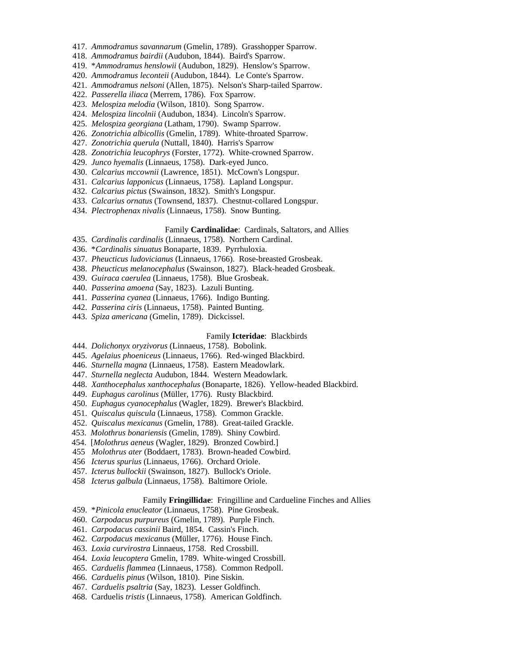- 417. *Ammodramus savannarum* (Gmelin, 1789). Grasshopper Sparrow.
- 418. *Ammodramus bairdii* (Audubon, 1844). Baird's Sparrow.
- 419. \**Ammodramus henslowii* (Audubon, 1829). Henslow's Sparrow.
- 420. *Ammodramus leconteii* (Audubon, 1844). Le Conte's Sparrow.
- 421. *Ammodramus nelsoni* (Allen, 1875). Nelson's Sharp-tailed Sparrow.
- 422. *Passerella iliaca* (Merrem, 1786). Fox Sparrow.
- 423. *Melospiza melodia* (Wilson, 1810). Song Sparrow.
- 424. *Melospiza lincolnii* (Audubon, 1834). Lincoln's Sparrow.
- 425. *Melospiza georgiana* (Latham, 1790). Swamp Sparrow.
- 426. *Zonotrichia albicollis* (Gmelin, 1789). White-throated Sparrow.
- 427. *Zonotrichia querula* (Nuttall, 1840). Harris's Sparrow
- 428. *Zonotrichia leucophrys* (Forster, 1772). White-crowned Sparrow.
- 429. *Junco hyemalis* (Linnaeus, 1758). Dark-eyed Junco.
- 430. *Calcarius mccownii* (Lawrence, 1851). McCown's Longspur.
- 431. *Calcarius lapponicus* (Linnaeus, 1758). Lapland Longspur.
- 432. *Calcarius pictus* (Swainson, 1832). Smith's Longspur.
- 433. *Calcarius ornatus* (Townsend, 1837). Chestnut-collared Longspur.
- 434. *Plectrophenax nivalis* (Linnaeus, 1758). Snow Bunting.

### Family **Cardinalidae**: Cardinals, Saltators, and Allies

- 435. *Cardinalis cardinalis* (Linnaeus, 1758). Northern Cardinal.
- 436. \**Cardinalis sinuatus* Bonaparte, 1839. Pyrrhuloxia.
- 437. *Pheucticus ludovicianus* (Linnaeus, 1766). Rose-breasted Grosbeak.
- 438. *Pheucticus melanocephalus* (Swainson, 1827). Black-headed Grosbeak.
- 439. *Guiraca caerulea* (Linnaeus, 1758). Blue Grosbeak.
- 440. *Passerina amoena* (Say, 1823). Lazuli Bunting.
- 441. *Passerina cyanea* (Linnaeus, 1766). Indigo Bunting.
- 442. *Passerina ciris* (Linnaeus, 1758). Painted Bunting.
- 443. *Spiza americana* (Gmelin, 1789). Dickcissel.

### Family **Icteridae**: Blackbirds

- 444. *Dolichonyx oryzivorus* (Linnaeus, 1758). Bobolink.
- 445. *Agelaius phoeniceus* (Linnaeus, 1766). Red-winged Blackbird.
- 446. *Sturnella magna* (Linnaeus, 1758). Eastern Meadowlark.
- 447. *Sturnella neglecta* Audubon, 1844. Western Meadowlark.
- 448. *Xanthocephalus xanthocephalus* (Bonaparte, 1826). Yellow-headed Blackbird.
- 449. *Euphagus carolinus* (Müller, 1776). Rusty Blackbird.
- 450. *Euphagus cyanocephalus* (Wagler, 1829). Brewer's Blackbird.
- 451. *Quiscalus quiscula* (Linnaeus, 1758). Common Grackle.
- 452. *Quiscalus mexicanus* (Gmelin, 1788). Great-tailed Grackle.
- 453. *Molothrus bonariensis* (Gmelin, 1789). Shiny Cowbird.
- 454. [*Molothrus aeneus* (Wagler, 1829). Bronzed Cowbird.]
- 455 *Molothrus ater* (Boddaert, 1783). Brown-headed Cowbird.
- 456 *Icterus spurius* (Linnaeus, 1766). Orchard Oriole.
- 457. *Icterus bullockii* (Swainson, 1827). Bullock's Oriole.
- 458 *Icterus galbula* (Linnaeus, 1758). Baltimore Oriole.

### Family **Fringillidae**: Fringilline and Cardueline Finches and Allies

- 459. \**Pinicola enucleator* (Linnaeus, 1758). Pine Grosbeak.
- 460. *Carpodacus purpureus* (Gmelin, 1789). Purple Finch.
- 461. *Carpodacus cassinii* Baird, 1854. Cassin's Finch.
- 462. *Carpodacus mexicanus* (Müller, 1776). House Finch.
- 463. *Loxia curvirostra* Linnaeus, 1758. Red Crossbill.
- 464. *Loxia leucoptera* Gmelin, 1789. White-winged Crossbill.
- 465. *Carduelis flammea* (Linnaeus, 1758). Common Redpoll.
- 466. *Carduelis pinus* (Wilson, 1810). Pine Siskin.
- 467. *Carduelis psaltria* (Say, 1823). Lesser Goldfinch.
- 468. Carduelis *tristis* (Linnaeus, 1758). American Goldfinch.